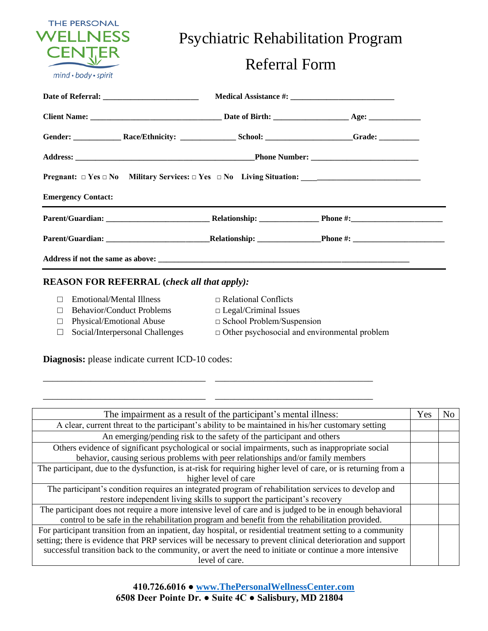

Psychiatric Rehabilitation Program

## Referral Form

| <b>Emergency Contact:</b> |  |  |  |  |  |
|---------------------------|--|--|--|--|--|
|                           |  |  |  |  |  |
|                           |  |  |  |  |  |
|                           |  |  |  |  |  |

## **REASON FOR REFERRAL (***check all that apply):*

□ Emotional/Mental Illness □ Relational Conflicts

\_\_\_\_\_\_\_\_\_\_\_\_\_\_\_\_\_\_\_\_\_\_\_\_\_\_\_\_\_\_\_\_\_\_ \_\_\_\_\_\_\_\_\_\_\_\_\_\_\_\_\_\_\_\_\_\_\_\_\_\_\_\_\_\_\_\_\_

\_\_\_\_\_\_\_\_\_\_\_\_\_\_\_\_\_\_\_\_\_\_\_\_\_\_\_\_\_\_\_\_\_\_ \_\_\_\_\_\_\_\_\_\_\_\_\_\_\_\_\_\_\_\_\_\_\_\_\_\_\_\_\_\_\_\_\_

- □ Behavior/Conduct Problems □ Legal/Criminal Issues
- 
- □ Physical/Emotional Abuse □ School Problem/Suspension
	-
- 
- □ Social/Interpersonal Challenges □ Other psychosocial and environmental problem

**Diagnosis:** please indicate current ICD-10 codes:

| The impairment as a result of the participant's mental illness:                                                |  |  |  |
|----------------------------------------------------------------------------------------------------------------|--|--|--|
| A clear, current threat to the participant's ability to be maintained in his/her customary setting             |  |  |  |
| An emerging/pending risk to the safety of the participant and others                                           |  |  |  |
| Others evidence of significant psychological or social impairments, such as inappropriate social               |  |  |  |
| behavior, causing serious problems with peer relationships and/or family members                               |  |  |  |
| The participant, due to the dysfunction, is at-risk for requiring higher level of care, or is returning from a |  |  |  |
| higher level of care                                                                                           |  |  |  |
| The participant's condition requires an integrated program of rehabilitation services to develop and           |  |  |  |
| restore independent living skills to support the participant's recovery                                        |  |  |  |
| The participant does not require a more intensive level of care and is judged to be in enough behavioral       |  |  |  |
| control to be safe in the rehabilitation program and benefit from the rehabilitation provided.                 |  |  |  |
| For participant transition from an inpatient, day hospital, or residential treatment setting to a community    |  |  |  |
| setting; there is evidence that PRP services will be necessary to prevent clinical deterioration and support   |  |  |  |
| successful transition back to the community, or avert the need to initiate or continue a more intensive        |  |  |  |
| level of care.                                                                                                 |  |  |  |